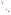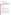# **Technical Factsheet on: NICKEL**

## [List of Contaminants](http://www.epa.gov/safewater/hfacts.html)

 As part of the Drinking Water and Health pages, this fact sheet is part of a larger publication: **National Primary Drinking Water Regulations** 

 **The MCL and MCLG for Nickel were remanded on February 9, 1995. This means that while many water suppliers continue to monitor nickel levels in their water, there is currently no EPA legal limit on the amount of nickel in drinking water. EPA is reconsidering the limit on nickel. This partially outdated fact sheet is provided for your information.** 

### **Drinking Water Standards**

 MCL: 0.1 mg/l MCLG: 0.1 mg/l HAL(child): 1- to 10-day: 1 mg/L; Longer-term: 0.5 mg/L

### **Health Effects Summary**

Acute: EPA has not found nickel to potentially cause health effects from acute exposures at levels above the MCL.

 water per day: a one- to ten-day exposure to 1 mg/L; upto a 7 year exposure to 0.5 mg/L. Short-term exposures in drinking water considered "safe" for a 10-kg (22 lb.) child consuming one liter of

 above the MCL: decreased body weight; heart and liver damage; dermatitis. Chronic: Nickel has the potential to cause the following health effects from long-term exposures at levels

 drinking water. Cancer: There is no evidence that nickel has the potential to cause cancer from lifetime exposures in

#### **Usage Patterns**

Production of nickel was 84.6 million lbs. in 1986, down slightly from 1982 report of almost 90 million lbs. In 1986 it was estimated that industries consumed nickel as follows: transportation, 25%, chemical industry, 15%; electrical equipment, 9%; construction, 9%; fabricated metal products, 9%; petroleum, 8%; household appliances, 7%; machinery, 7%; and other, 11%.

 Nickel carbonate is used in nickel catalyst production for organic chemical manufacture, petroleum refining and edible oil hardening. Nickel oxide consumption in 1972 (representing over 30 million lbs. contained nickel) is estimated to have been as follows: 60% for stainless and heat resisting steels, 27% for other steel alloys, 8% for other nickel alloys, 2% for cast irons, and 3% for other uses.

#### **Release Patterns**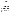Nickel carbonate, found as the mineral zaratite, is a potential atmospheric and surface water pollutant. Nickel is found in many ores as sulfides, arsenides, antimonides & oxides or silicates; chief sources include chalcopyrite; others are pyrrhotite, pentlandite, garnierite, niccolite, millerite. The principal natural form of nickel oxide occurs in admixture with nickel sulfides in varying proportions in weathered ore.

Inadvertent formation of nickel carbonyl can occur in various industrial processes that use nickel catalysts, such as coal gasification, petroleum refining, and hydrogenation of fats and oils. Nickel oxide has been identified in residual fuel oil and in atmospheric emissions from nickel refineries. Trinickel disulfide is a major component in nickel refinery flue dust.

 From 1987 to 1993, according to the Toxics Release Inventory nickel releases to land and water totalled largest direct releases to water occurred in Maryland and Georgia. nearly 27 million lbs., of which most was to land. These releases were primarily from nickel smelting/refining and steelworks industries. The largest releases occurred in Oregon and Arkansas. The

#### **Environmental Fate**

 manganese control nickel's mobility via co-precipitation and sorption. In polluted environments, the more Nickel is one of the most mobile of the heavy metals in the aquatic environment. The mobility of nickel in the aquatic environment is controlled largely by the capability of various sorbents to scavenge it from solution. Although data are limited, it appears that in pristine environments, hydrous oxides of iron and prevalent organic material will keep nickel soluble. In reducing environments, insoluble nickel sulfide may be formed. Nickel chloride is water soluble and would be expected to release divalent nickel into the water.

 come from both natural sources and anthropogenic activity, with input from both stationary and mobile from the atmosphere with transfer to soils and waters. Soil borne nickel may enter waters by surface The atmosphere is a major conduit for nickel as particulate matter. Contributions to atmospheric loading sources. Various dry and wet precipitation processes remove particulate matter as wash out or fallout runoff or by percolation into ground water.

Once nickel is in surface and ground water systems, physical and chemical interactions (complexation, precipitation/dissolution, adsorption/desorption, and oxidation/reduction) occur that will determine its fate and that of its constituents.

 concentrations near the ppb level, it has a half-life of about 30 minutes. The removal of nickel carbonyl by The only gaseous nickel compound of environmental importance is nickel carbonyl. Under ambient conditions in moist air, it decomposes to form nickel carbonate. Thus, in the atmosphere at precipitation or by adsorption on surfaces has not been documented. Since this compound is soluble in water, precipitation scavenging is possible. Nothing is known about its reaction with natural surfaces or its uptake by vegetation. Thus, dry deposition rates cannot be predicted until some experimental investigations have been conducted.

 the biota is not a dominant fate process. Although nickel is bioaccumulated, the concentration factors are such as to suggest that partitioning into

#### **Chemical/Physical Properties**

CAS Number: 7440-02-0

Color/ Form/Odor: Nickel is a silvery metal found only in combined form in nature.

Soil sorption coefficient: N/A; sorption related to that of iron/manganese oxides, organic matter.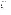Bioconcentration Factor: N/A; not expected to bioconcentrate

 oxide- bunsenite; others- pyrrhotite, pentlandite, garnierite, niccolite, millerite Common Ores: sulfide- chalcopyrite, heazlewoodite (disulfide); sulfate- morenosite; carbonate- zaratite;

Solubilities:

 carbonate- 93 mg/L at 25 deg C carbonyl- insoluble chloride- 642 g/L at 20 deg C cyanide- insoluble disulfide- insoluble oxide- 0.11 mg/L at 20 deg C acetate- 17% at 65 deg C fluoride- 40 g/L at 25 deg C hydroxide- 0.13 g/L cold water iodide- 1242 g/L at 0 deg C nitrate- 48.5 Wt% at 20 deg C sulfate- 293 g/L at 0 deg C

#### **Other Regulatory Information**

Monitoring:

-- For Ground Water Sources:

Initial Frequency-1 sample once every 3 years

Repeat Frequency-If no detections for 3 rounds, once every 9 years

-- For Surface Water Sources:

Initial Frequency-1 sample annually

Repeat Frequency-If no detections for 3 rounds, once every 9 years

-- Triggers - If detect at > 0.1 mg/L, sample quarterly.

#### **Analysis**

| Analysis                |                      |
|-------------------------|----------------------|
| <b>Reference Source</b> | <b>Method Number</b> |
| EPA 600/4-79-020        | 249.1; 249.1         |
| NTIS PB 91-231498       | 200.7; 200.8; 200.9  |
| Standard Methods        | 3111B; 3113; 3120    |

**Treatment/Best Available Technologies:** Ion Exchange, Lime Softening, Reverse Osmosis

 **Toxic Release Inventory - Releases to Water and Land, 1987 to 1993 (in pounds):**